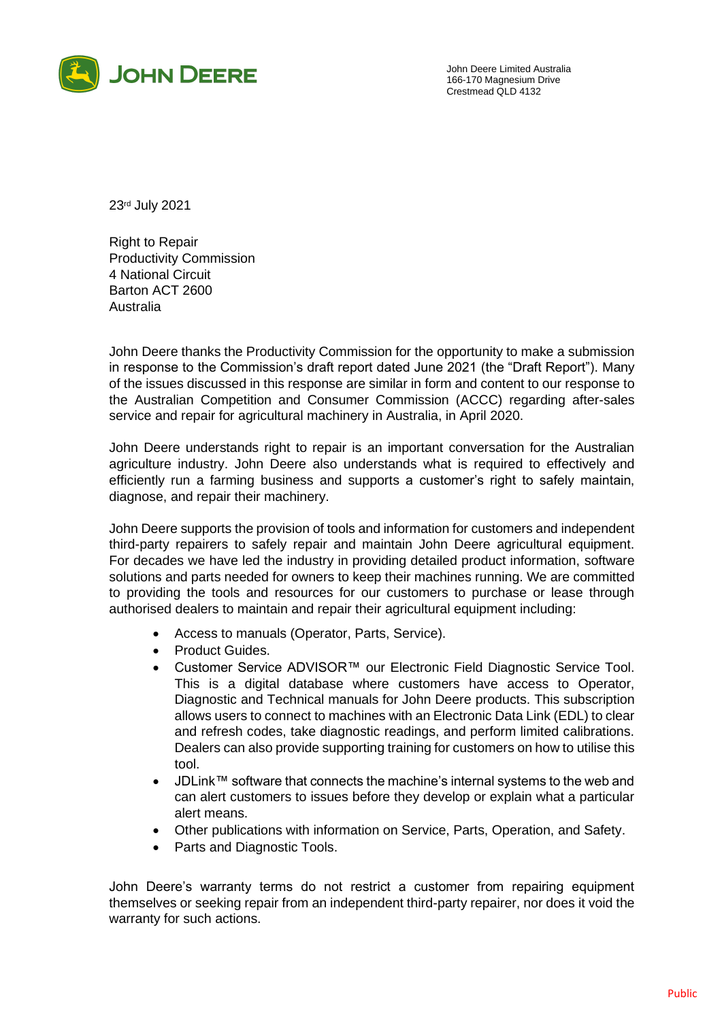

John Deere Limited Australia 166-170 Magnesium Drive Crestmead QLD 4132

23rd July 2021

Right to Repair Productivity Commission 4 National Circuit Barton ACT 2600 Australia

John Deere thanks the Productivity Commission for the opportunity to make a submission in response to the Commission's draft report dated June 2021 (the "Draft Report"). Many of the issues discussed in this response are similar in form and content to our response to the Australian Competition and Consumer Commission (ACCC) regarding after-sales service and repair for agricultural machinery in Australia, in April 2020.

John Deere understands right to repair is an important conversation for the Australian agriculture industry. John Deere also understands what is required to effectively and efficiently run a farming business and supports a customer's right to safely maintain, diagnose, and repair their machinery.

John Deere supports the provision of tools and information for customers and independent third-party repairers to safely repair and maintain John Deere agricultural equipment. For decades we have led the industry in providing detailed product information, software solutions and parts needed for owners to keep their machines running. We are committed to providing the tools and resources for our customers to purchase or lease through authorised dealers to maintain and repair their agricultural equipment including:

- Access to manuals (Operator, Parts, Service).
- Product Guides.
- Customer Service ADVISOR™ our Electronic Field Diagnostic Service Tool. This is a digital database where customers have access to Operator, Diagnostic and Technical manuals for John Deere products. This subscription allows users to connect to machines with an Electronic Data Link (EDL) to clear and refresh codes, take diagnostic readings, and perform limited calibrations. Dealers can also provide supporting training for customers on how to utilise this tool.
- JDLink™ software that connects the machine's internal systems to the web and can alert customers to issues before they develop or explain what a particular alert means.
- Other publications with information on Service, Parts, Operation, and Safety.
- Parts and Diagnostic Tools.

John Deere's warranty terms do not restrict a customer from repairing equipment themselves or seeking repair from an independent third-party repairer, nor does it void the warranty for such actions.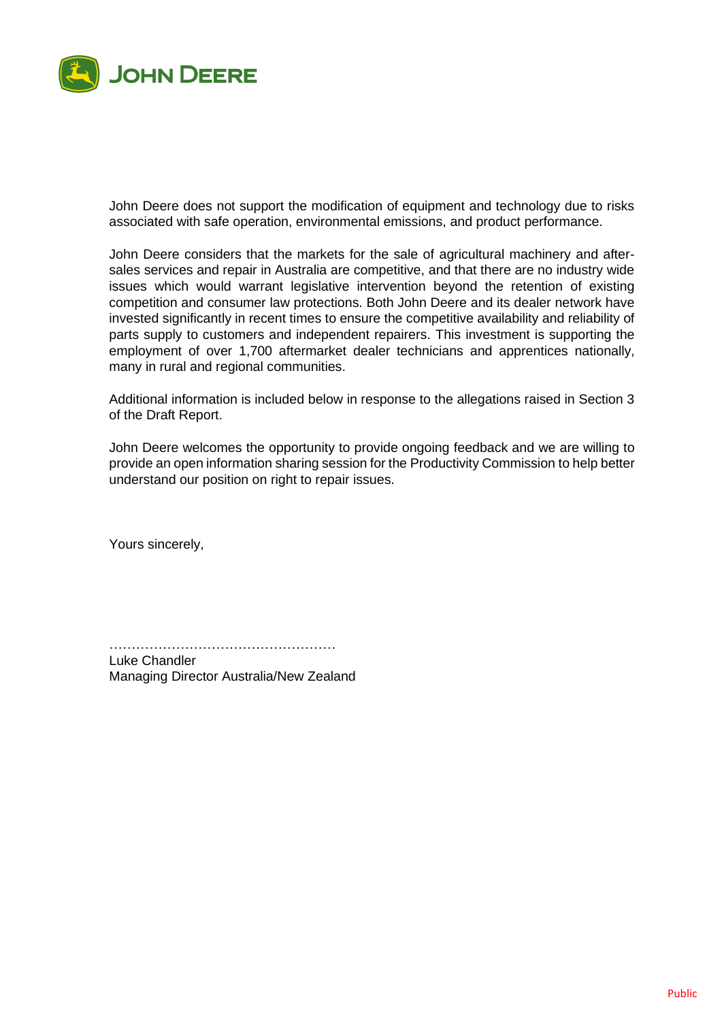

John Deere does not support the modification of equipment and technology due to risks associated with safe operation, environmental emissions, and product performance.

John Deere considers that the markets for the sale of agricultural machinery and aftersales services and repair in Australia are competitive, and that there are no industry wide issues which would warrant legislative intervention beyond the retention of existing competition and consumer law protections. Both John Deere and its dealer network have invested significantly in recent times to ensure the competitive availability and reliability of parts supply to customers and independent repairers. This investment is supporting the employment of over 1,700 aftermarket dealer technicians and apprentices nationally, many in rural and regional communities.

Additional information is included below in response to the allegations raised in Section 3 of the Draft Report.

John Deere welcomes the opportunity to provide ongoing feedback and we are willing to provide an open information sharing session for the Productivity Commission to help better understand our position on right to repair issues.

Yours sincerely,

……………………………………………

Luke Chandler Managing Director Australia/New Zealand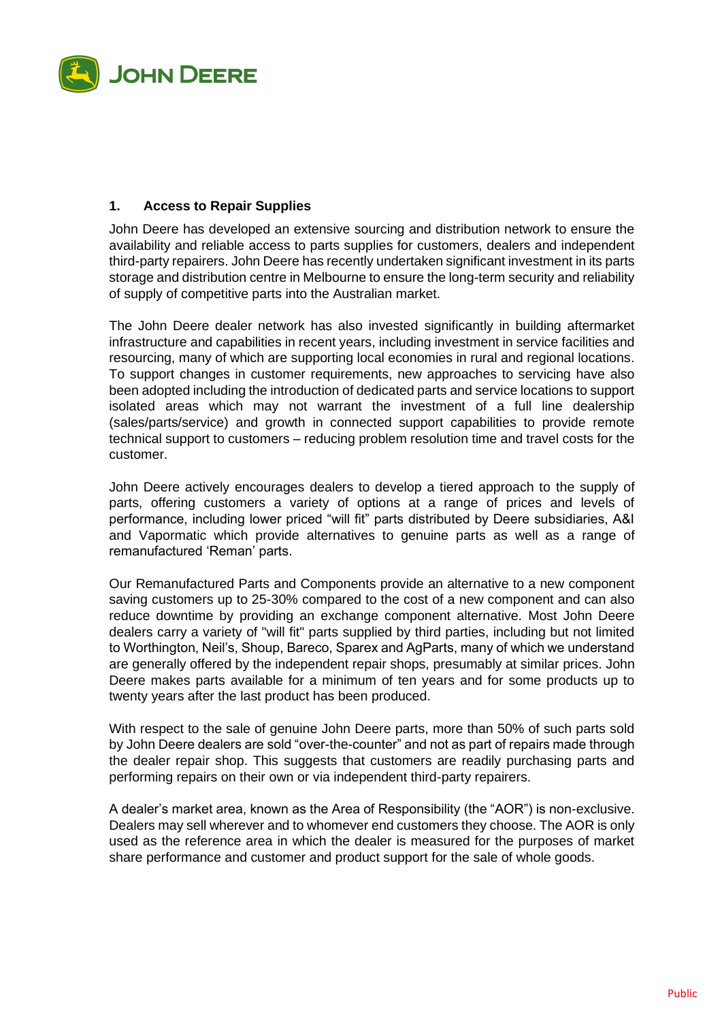

## **1. Access to Repair Supplies**

John Deere has developed an extensive sourcing and distribution network to ensure the availability and reliable access to parts supplies for customers, dealers and independent third-party repairers. John Deere has recently undertaken significant investment in its parts storage and distribution centre in Melbourne to ensure the long-term security and reliability of supply of competitive parts into the Australian market.

The John Deere dealer network has also invested significantly in building aftermarket infrastructure and capabilities in recent years, including investment in service facilities and resourcing, many of which are supporting local economies in rural and regional locations. To support changes in customer requirements, new approaches to servicing have also been adopted including the introduction of dedicated parts and service locations to support isolated areas which may not warrant the investment of a full line dealership (sales/parts/service) and growth in connected support capabilities to provide remote technical support to customers – reducing problem resolution time and travel costs for the customer.

John Deere actively encourages dealers to develop a tiered approach to the supply of parts, offering customers a variety of options at a range of prices and levels of performance, including lower priced "will fit" parts distributed by Deere subsidiaries, A&I and Vapormatic which provide alternatives to genuine parts as well as a range of remanufactured 'Reman' parts.

Our Remanufactured Parts and Components provide an alternative to a new component saving customers up to 25-30% compared to the cost of a new component and can also reduce downtime by providing an exchange component alternative. Most John Deere dealers carry a variety of "will fit" parts supplied by third parties, including but not limited to Worthington, Neil's, Shoup, Bareco, Sparex and AgParts, many of which we understand are generally offered by the independent repair shops, presumably at similar prices. John Deere makes parts available for a minimum of ten years and for some products up to twenty years after the last product has been produced.

With respect to the sale of genuine John Deere parts, more than 50% of such parts sold by John Deere dealers are sold "over-the-counter" and not as part of repairs made through the dealer repair shop. This suggests that customers are readily purchasing parts and performing repairs on their own or via independent third-party repairers.

A dealer's market area, known as the Area of Responsibility (the "AOR") is non-exclusive. Dealers may sell wherever and to whomever end customers they choose. The AOR is only used as the reference area in which the dealer is measured for the purposes of market share performance and customer and product support for the sale of whole goods.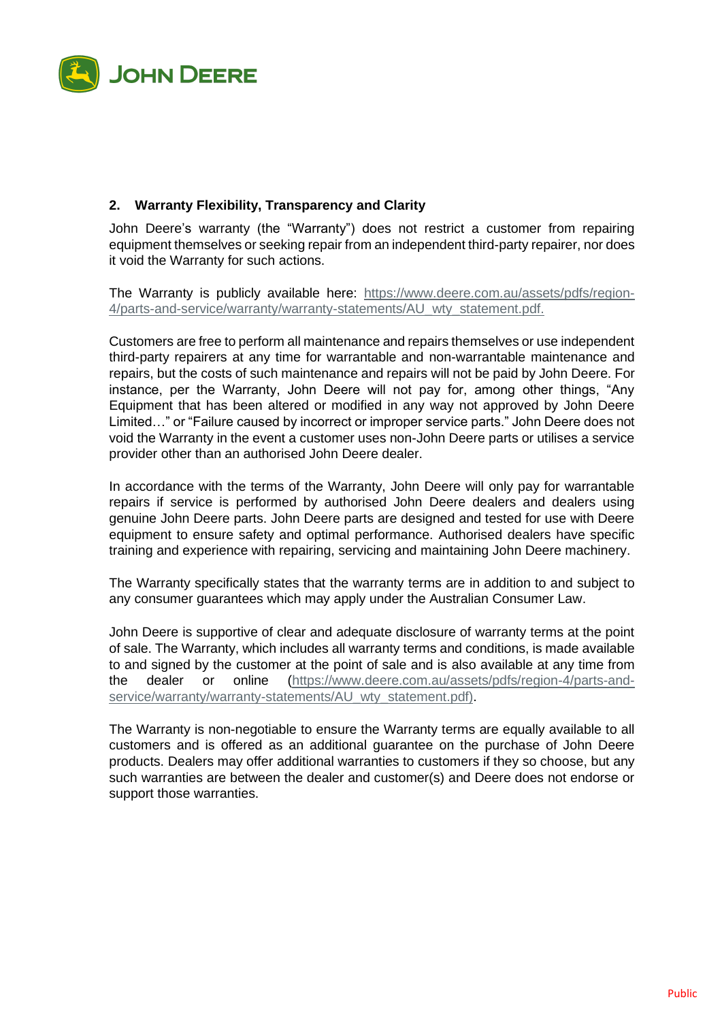

## **2. Warranty Flexibility, Transparency and Clarity**

John Deere's warranty (the "Warranty") does not restrict a customer from repairing equipment themselves or seeking repair from an independent third-party repairer, nor does it void the Warranty for such actions.

The Warranty is publicly available here: [https://www.deere.com.au/assets/pdfs/region-](https://www.deere.com.au/assets/pdfs/region-4/parts-and-service/warranty/warranty-statements/AU_wty_statement.pdf)4/parts-and-service/warranty/warranty-statements/AU wty statement.pdf.

Customers are free to perform all maintenance and repairs themselves or use independent third-party repairers at any time for warrantable and non-warrantable maintenance and repairs, but the costs of such maintenance and repairs will not be paid by John Deere. For instance, per the Warranty, John Deere will not pay for, among other things, "Any Equipment that has been altered or modified in any way not approved by John Deere Limited…" or "Failure caused by incorrect or improper service parts." John Deere does not void the Warranty in the event a customer uses non-John Deere parts or utilises a service provider other than an authorised John Deere dealer.

In accordance with the terms of the Warranty, John Deere will only pay for warrantable repairs if service is performed by authorised John Deere dealers and dealers using genuine John Deere parts. John Deere parts are designed and tested for use with Deere equipment to ensure safety and optimal performance. Authorised dealers have specific training and experience with repairing, servicing and maintaining John Deere machinery.

The Warranty specifically states that the warranty terms are in addition to and subject to any consumer guarantees which may apply under the Australian Consumer Law.

John Deere is supportive of clear and adequate disclosure of warranty terms at the point of sale. The Warranty, which includes all warranty terms and conditions, is made available to and signed by the customer at the point of sale and is also available at any time from the dealer or online [\(https://www.deere.com.au/assets/pdfs/region-4/parts-and](https://www.deere.com.au/assets/pdfs/region-4/parts-and-service/warranty/warranty-statements/AU_wty_statement.pdf)[service/warranty/warranty-statements/AU\\_wty\\_statement.pdf\)](https://www.deere.com.au/assets/pdfs/region-4/parts-and-service/warranty/warranty-statements/AU_wty_statement.pdf).

The Warranty is non-negotiable to ensure the Warranty terms are equally available to all customers and is offered as an additional guarantee on the purchase of John Deere products. Dealers may offer additional warranties to customers if they so choose, but any such warranties are between the dealer and customer(s) and Deere does not endorse or support those warranties.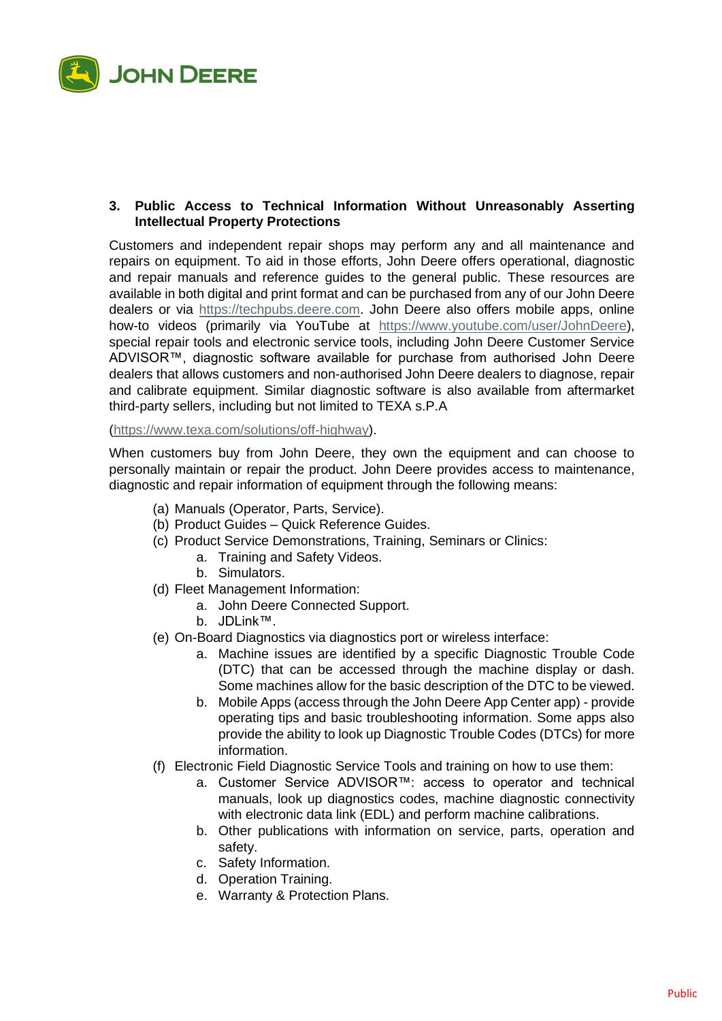

## **3. Public Access to Technical Information Without Unreasonably Asserting Intellectual Property Protections**

Customers and independent repair shops may perform any and all maintenance and repairs on equipment. To aid in those efforts, John Deere offers operational, diagnostic and repair manuals and reference guides to the general public. These resources are available in both digital and print format and can be purchased from any of our John Deere dealers or via [https://techpubs.deere.com.](https://techpubs.deere.com/) John Deere also offers mobile apps, online how-to videos (primarily via YouTube at [https://www.youtube.com/user/JohnDeere\)](https://www.youtube.com/user/JohnDeere), special repair tools and electronic service tools, including John Deere Customer Service ADVISOR™, diagnostic software available for purchase from authorised John Deere dealers that allows customers and non-authorised John Deere dealers to diagnose, repair and calibrate equipment. Similar diagnostic software is also available from aftermarket third-party sellers, including but not limited to TEXA s.P.A

## [\(https://www.texa.com/solutions/off-highway\)](https://www.texa.com/solutions/off-highway).

When customers buy from John Deere, they own the equipment and can choose to personally maintain or repair the product. John Deere provides access to maintenance, diagnostic and repair information of equipment through the following means:

- (a) Manuals (Operator, Parts, Service).
- (b) Product Guides Quick Reference Guides.
- (c) Product Service Demonstrations, Training, Seminars or Clinics:
	- a. Training and Safety Videos.
	- b. Simulators.
- (d) Fleet Management Information:
	- a. John Deere Connected Support.
	- b. JDLink™.
- (e) On-Board Diagnostics via diagnostics port or wireless interface:
	- a. Machine issues are identified by a specific Diagnostic Trouble Code (DTC) that can be accessed through the machine display or dash. Some machines allow for the basic description of the DTC to be viewed.
	- b. Mobile Apps (access through the John Deere App Center app) provide operating tips and basic troubleshooting information. Some apps also provide the ability to look up Diagnostic Trouble Codes (DTCs) for more information.
- (f) Electronic Field Diagnostic Service Tools and training on how to use them:
	- a. Customer Service ADVISOR™: access to operator and technical manuals, look up diagnostics codes, machine diagnostic connectivity with electronic data link (EDL) and perform machine calibrations.
	- b. Other publications with information on service, parts, operation and safety.
	- c. Safety Information.
	- d. Operation Training.
	- e. Warranty & Protection Plans.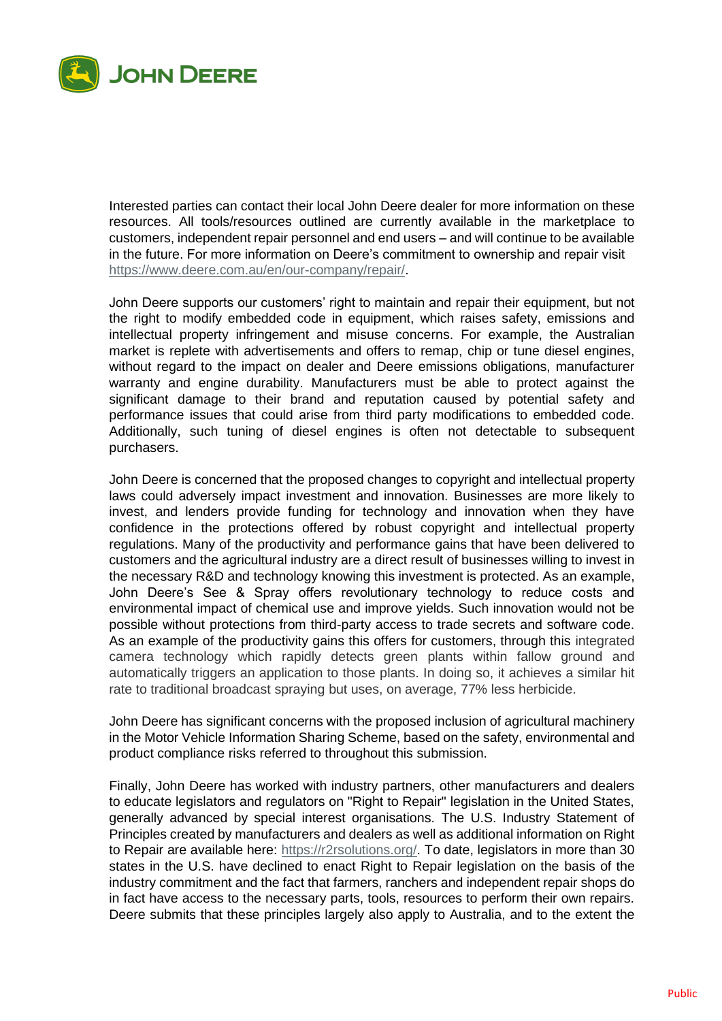

Interested parties can contact their local John Deere dealer for more information on these resources. All tools/resources outlined are currently available in the marketplace to customers, independent repair personnel and end users – and will continue to be available in the future. For more information on Deere's commitment to ownership and repair visit [https://www.deere.com.au/en/our-company/repair/.](https://www.deere.com.au/en/our-company/repair/)

John Deere supports our customers' right to maintain and repair their equipment, but not the right to modify embedded code in equipment, which raises safety, emissions and intellectual property infringement and misuse concerns. For example, the Australian market is replete with advertisements and offers to remap, chip or tune diesel engines, without regard to the impact on dealer and Deere emissions obligations, manufacturer warranty and engine durability. Manufacturers must be able to protect against the significant damage to their brand and reputation caused by potential safety and performance issues that could arise from third party modifications to embedded code. Additionally, such tuning of diesel engines is often not detectable to subsequent purchasers.

John Deere is concerned that the proposed changes to copyright and intellectual property laws could adversely impact investment and innovation. Businesses are more likely to invest, and lenders provide funding for technology and innovation when they have confidence in the protections offered by robust copyright and intellectual property regulations. Many of the productivity and performance gains that have been delivered to customers and the agricultural industry are a direct result of businesses willing to invest in the necessary R&D and technology knowing this investment is protected. As an example, John Deere's See & Spray offers revolutionary technology to reduce costs and environmental impact of chemical use and improve yields. Such innovation would not be possible without protections from third-party access to trade secrets and software code. As an example of the productivity gains this offers for customers, through this integrated camera technology which rapidly detects green plants within fallow ground and automatically triggers an application to those plants. In doing so, it achieves a similar hit rate to traditional broadcast spraying but uses, on average, 77% less herbicide.

John Deere has significant concerns with the proposed inclusion of agricultural machinery in the Motor Vehicle Information Sharing Scheme, based on the safety, environmental and product compliance risks referred to throughout this submission.

Finally, John Deere has worked with industry partners, other manufacturers and dealers to educate legislators and regulators on "Right to Repair" legislation in the United States, generally advanced by special interest organisations. The U.S. Industry Statement of Principles created by manufacturers and dealers as well as additional information on Right to Repair are available here: [https://r2rsolutions.org/.](https://r2rsolutions.org/) To date, legislators in more than 30 states in the U.S. have declined to enact Right to Repair legislation on the basis of the industry commitment and the fact that farmers, ranchers and independent repair shops do in fact have access to the necessary parts, tools, resources to perform their own repairs. Deere submits that these principles largely also apply to Australia, and to the extent the